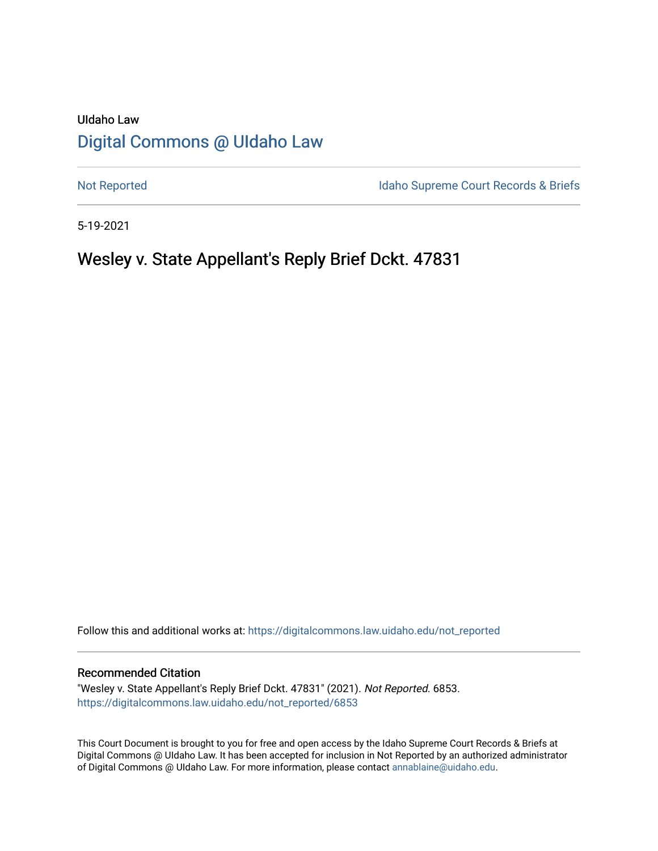# UIdaho Law [Digital Commons @ UIdaho Law](https://digitalcommons.law.uidaho.edu/)

[Not Reported](https://digitalcommons.law.uidaho.edu/not_reported) **Idaho Supreme Court Records & Briefs** 

5-19-2021

# Wesley v. State Appellant's Reply Brief Dckt. 47831

Follow this and additional works at: [https://digitalcommons.law.uidaho.edu/not\\_reported](https://digitalcommons.law.uidaho.edu/not_reported?utm_source=digitalcommons.law.uidaho.edu%2Fnot_reported%2F6853&utm_medium=PDF&utm_campaign=PDFCoverPages) 

#### Recommended Citation

"Wesley v. State Appellant's Reply Brief Dckt. 47831" (2021). Not Reported. 6853. [https://digitalcommons.law.uidaho.edu/not\\_reported/6853](https://digitalcommons.law.uidaho.edu/not_reported/6853?utm_source=digitalcommons.law.uidaho.edu%2Fnot_reported%2F6853&utm_medium=PDF&utm_campaign=PDFCoverPages)

This Court Document is brought to you for free and open access by the Idaho Supreme Court Records & Briefs at Digital Commons @ UIdaho Law. It has been accepted for inclusion in Not Reported by an authorized administrator of Digital Commons @ UIdaho Law. For more information, please contact [annablaine@uidaho.edu](mailto:annablaine@uidaho.edu).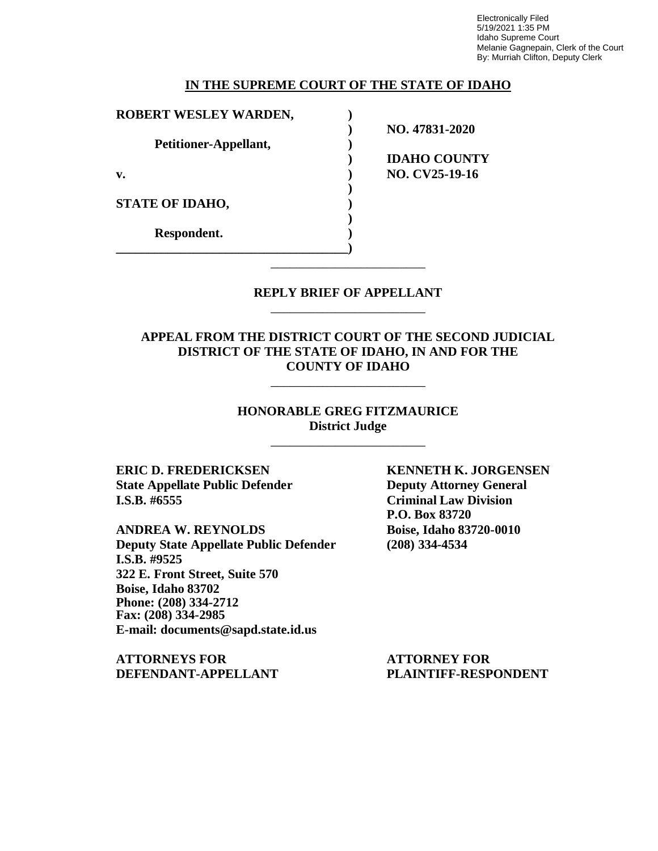Electronically Filed 5/19/2021 1:35 PM Idaho Supreme Court Melanie Gagnepain, Clerk of the Court By: Murriah Clifton, Deputy Clerk

#### **IN THE SUPREME COURT OF THE STATE OF IDAHO**

| ROBERT WESLEY WARDEN,  |                     |
|------------------------|---------------------|
|                        | NO. 47831-2020      |
| Petitioner-Appellant,  |                     |
|                        | <b>IDAHO COUNTY</b> |
| v.                     | NO. CV25-19-16      |
|                        |                     |
| <b>STATE OF IDAHO,</b> |                     |
|                        |                     |
| Respondent.            |                     |
|                        |                     |

### **REPLY BRIEF OF APPELLANT** \_\_\_\_\_\_\_\_\_\_\_\_\_\_\_\_\_\_\_\_\_\_\_\_

\_\_\_\_\_\_\_\_\_\_\_\_\_\_\_\_\_\_\_\_\_\_\_\_

## **APPEAL FROM THE DISTRICT COURT OF THE SECOND JUDICIAL DISTRICT OF THE STATE OF IDAHO, IN AND FOR THE COUNTY OF IDAHO**

\_\_\_\_\_\_\_\_\_\_\_\_\_\_\_\_\_\_\_\_\_\_\_\_

#### **HONORABLE GREG FITZMAURICE District Judge**

\_\_\_\_\_\_\_\_\_\_\_\_\_\_\_\_\_\_\_\_\_\_\_\_

**State Appellate Public Defender Deputy Attorney General I.S.B. #6555 Criminal Law Division**

**ANDREA W. REYNOLDS Boise, Idaho 83720-0010 Deputy State Appellate Public Defender (208) 334-4534 I.S.B. #9525 322 E. Front Street, Suite 570 Boise, Idaho 83702 Phone: (208) 334-2712 Fax: (208) 334-2985 E-mail: documents@sapd.state.id.us**

**ATTORNEYS FOR ATTORNEY FOR DEFENDANT-APPELLANT PLAINTIFF-RESPONDENT**

**ERIC D. FREDERICKSEN KENNETH K. JORGENSEN P.O. Box 83720**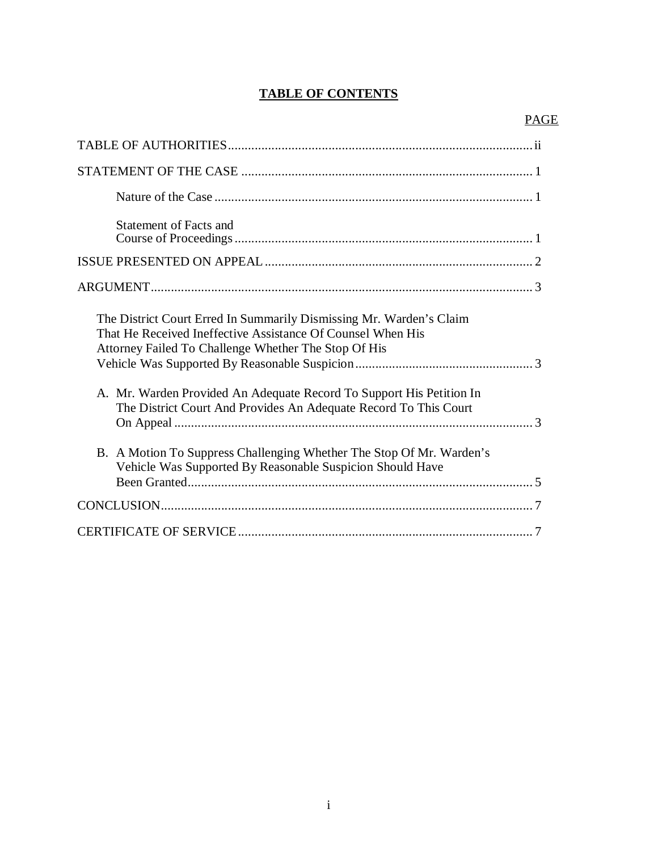# **TABLE OF CONTENTS**

| <b>Statement of Facts and</b>                                                                                                                                                              |
|--------------------------------------------------------------------------------------------------------------------------------------------------------------------------------------------|
|                                                                                                                                                                                            |
|                                                                                                                                                                                            |
| The District Court Erred In Summarily Dismissing Mr. Warden's Claim<br>That He Received Ineffective Assistance Of Counsel When His<br>Attorney Failed To Challenge Whether The Stop Of His |
| A. Mr. Warden Provided An Adequate Record To Support His Petition In<br>The District Court And Provides An Adequate Record To This Court                                                   |
| B. A Motion To Suppress Challenging Whether The Stop Of Mr. Warden's<br>Vehicle Was Supported By Reasonable Suspicion Should Have                                                          |
|                                                                                                                                                                                            |
|                                                                                                                                                                                            |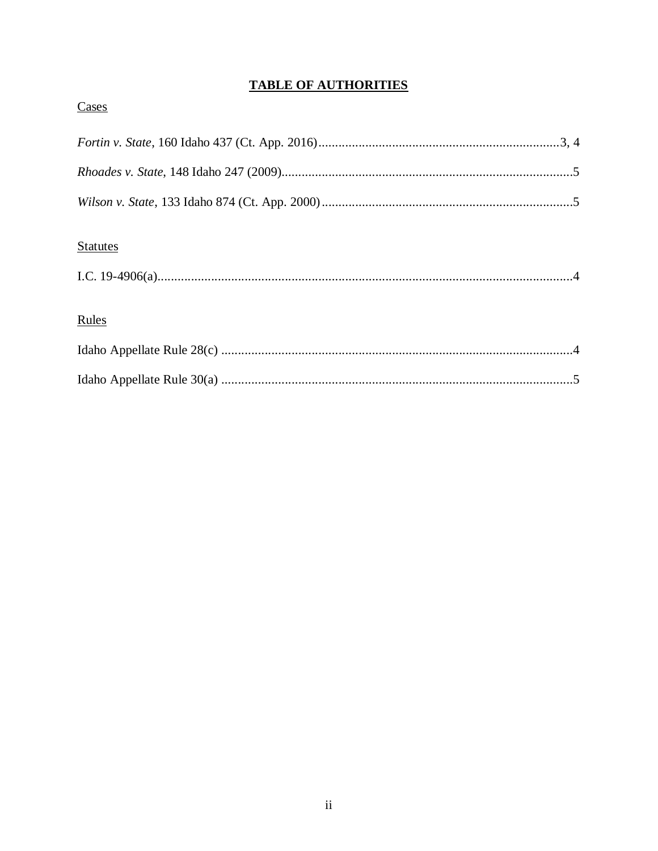# **TABLE OF AUTHORITIES**

| Cases                           |  |
|---------------------------------|--|
|                                 |  |
|                                 |  |
|                                 |  |
| <b>Statutes</b><br><b>Rules</b> |  |
|                                 |  |
|                                 |  |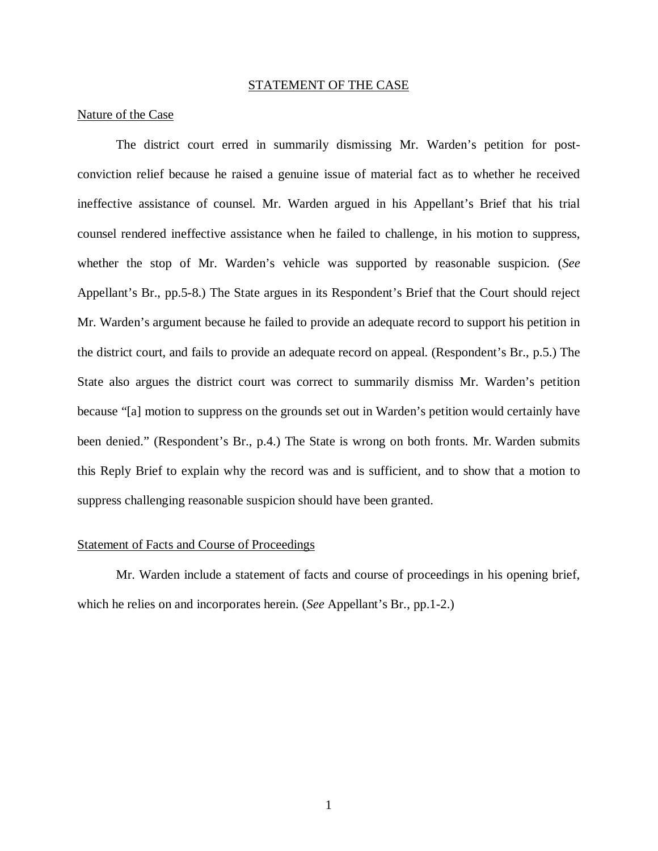#### STATEMENT OF THE CASE

#### Nature of the Case

The district court erred in summarily dismissing Mr. Warden's petition for postconviction relief because he raised a genuine issue of material fact as to whether he received ineffective assistance of counsel. Mr. Warden argued in his Appellant's Brief that his trial counsel rendered ineffective assistance when he failed to challenge, in his motion to suppress, whether the stop of Mr. Warden's vehicle was supported by reasonable suspicion. (*See* Appellant's Br., pp.5-8.) The State argues in its Respondent's Brief that the Court should reject Mr. Warden's argument because he failed to provide an adequate record to support his petition in the district court, and fails to provide an adequate record on appeal. (Respondent's Br., p.5.) The State also argues the district court was correct to summarily dismiss Mr. Warden's petition because "[a] motion to suppress on the grounds set out in Warden's petition would certainly have been denied." (Respondent's Br., p.4.) The State is wrong on both fronts. Mr. Warden submits this Reply Brief to explain why the record was and is sufficient, and to show that a motion to suppress challenging reasonable suspicion should have been granted.

#### Statement of Facts and Course of Proceedings

Mr. Warden include a statement of facts and course of proceedings in his opening brief, which he relies on and incorporates herein. (*See* Appellant's Br., pp.1-2.)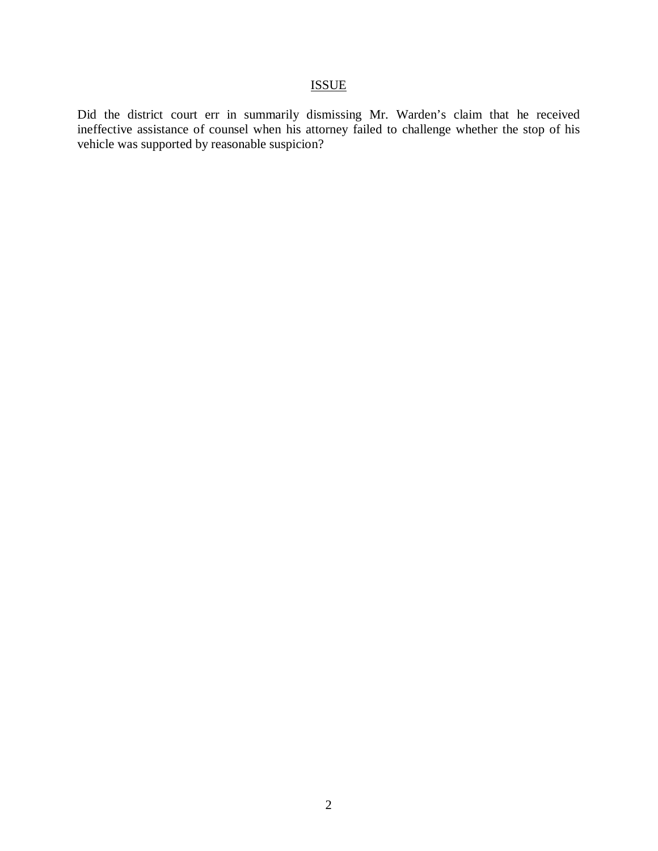# ISSUE

Did the district court err in summarily dismissing Mr. Warden's claim that he received ineffective assistance of counsel when his attorney failed to challenge whether the stop of his vehicle was supported by reasonable suspicion?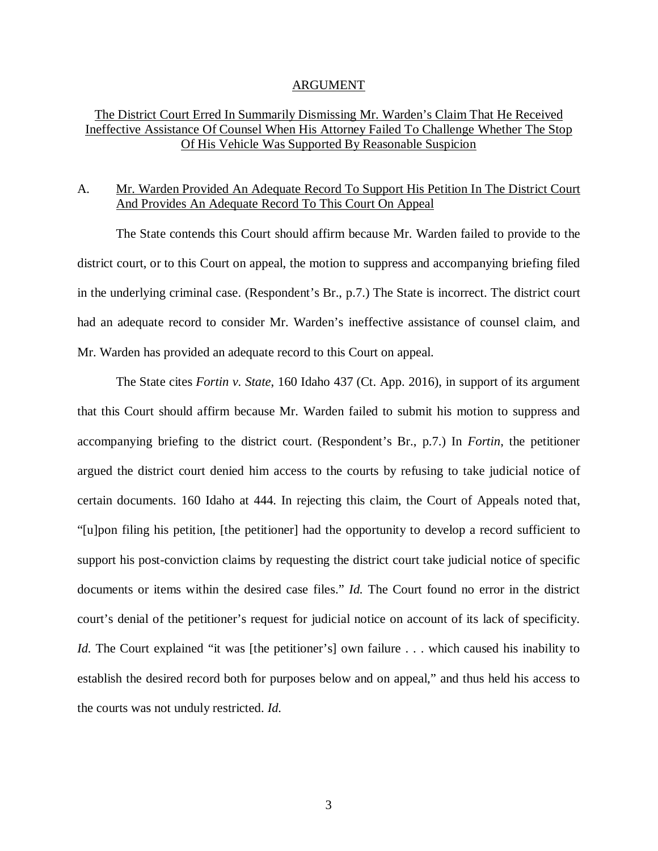#### ARGUMENT

### The District Court Erred In Summarily Dismissing Mr. Warden's Claim That He Received Ineffective Assistance Of Counsel When His Attorney Failed To Challenge Whether The Stop Of His Vehicle Was Supported By Reasonable Suspicion

## A. Mr. Warden Provided An Adequate Record To Support His Petition In The District Court And Provides An Adequate Record To This Court On Appeal

The State contends this Court should affirm because Mr. Warden failed to provide to the district court, or to this Court on appeal, the motion to suppress and accompanying briefing filed in the underlying criminal case. (Respondent's Br., p.7.) The State is incorrect. The district court had an adequate record to consider Mr. Warden's ineffective assistance of counsel claim, and Mr. Warden has provided an adequate record to this Court on appeal.

The State cites *Fortin v. State*, 160 Idaho 437 (Ct. App. 2016), in support of its argument that this Court should affirm because Mr. Warden failed to submit his motion to suppress and accompanying briefing to the district court. (Respondent's Br., p.7.) In *Fortin*, the petitioner argued the district court denied him access to the courts by refusing to take judicial notice of certain documents. 160 Idaho at 444. In rejecting this claim, the Court of Appeals noted that, "[u]pon filing his petition, [the petitioner] had the opportunity to develop a record sufficient to support his post-conviction claims by requesting the district court take judicial notice of specific documents or items within the desired case files." *Id.* The Court found no error in the district court's denial of the petitioner's request for judicial notice on account of its lack of specificity. *Id.* The Court explained "it was [the petitioner's] own failure . . . which caused his inability to establish the desired record both for purposes below and on appeal," and thus held his access to the courts was not unduly restricted. *Id.*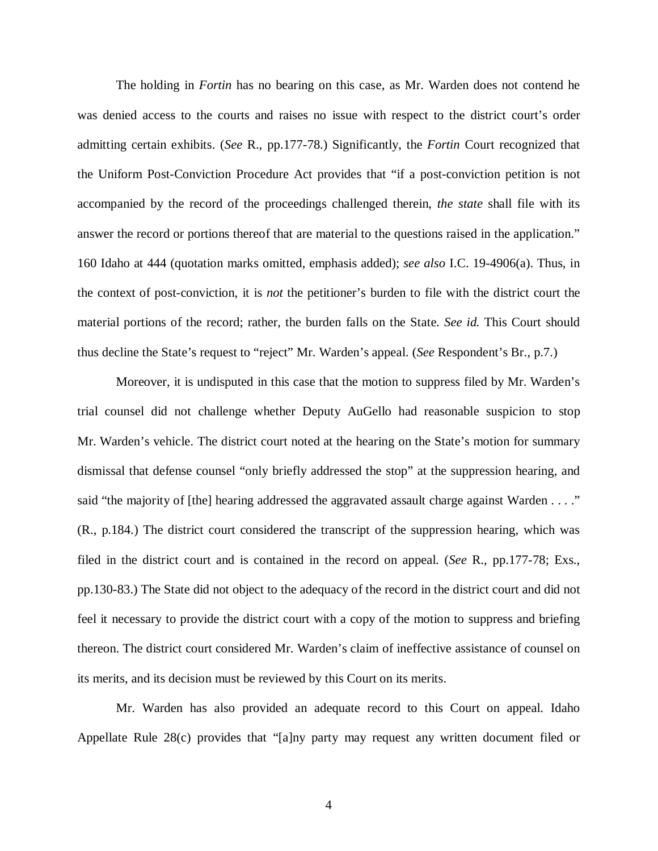The holding in *Fortin* has no bearing on this case, as Mr. Warden does not contend he was denied access to the courts and raises no issue with respect to the district court's order admitting certain exhibits. (*See* R., pp.177-78.) Significantly, the *Fortin* Court recognized that the Uniform Post-Conviction Procedure Act provides that "if a post-conviction petition is not accompanied by the record of the proceedings challenged therein, *the state* shall file with its answer the record or portions thereof that are material to the questions raised in the application." 160 Idaho at 444 (quotation marks omitted, emphasis added); *see also* I.C. 19-4906(a). Thus, in the context of post-conviction, it is *not* the petitioner's burden to file with the district court the material portions of the record; rather, the burden falls on the State. *See id.* This Court should thus decline the State's request to "reject" Mr. Warden's appeal. (*See* Respondent's Br., p.7.)

Moreover, it is undisputed in this case that the motion to suppress filed by Mr. Warden's trial counsel did not challenge whether Deputy AuGello had reasonable suspicion to stop Mr. Warden's vehicle. The district court noted at the hearing on the State's motion for summary dismissal that defense counsel "only briefly addressed the stop" at the suppression hearing, and said "the majority of [the] hearing addressed the aggravated assault charge against Warden . . . ." (R., p.184.) The district court considered the transcript of the suppression hearing, which was filed in the district court and is contained in the record on appeal. (*See* R., pp.177-78; Exs., pp.130-83.) The State did not object to the adequacy of the record in the district court and did not feel it necessary to provide the district court with a copy of the motion to suppress and briefing thereon. The district court considered Mr. Warden's claim of ineffective assistance of counsel on its merits, and its decision must be reviewed by this Court on its merits.

Mr. Warden has also provided an adequate record to this Court on appeal. Idaho Appellate Rule 28(c) provides that "[a]ny party may request any written document filed or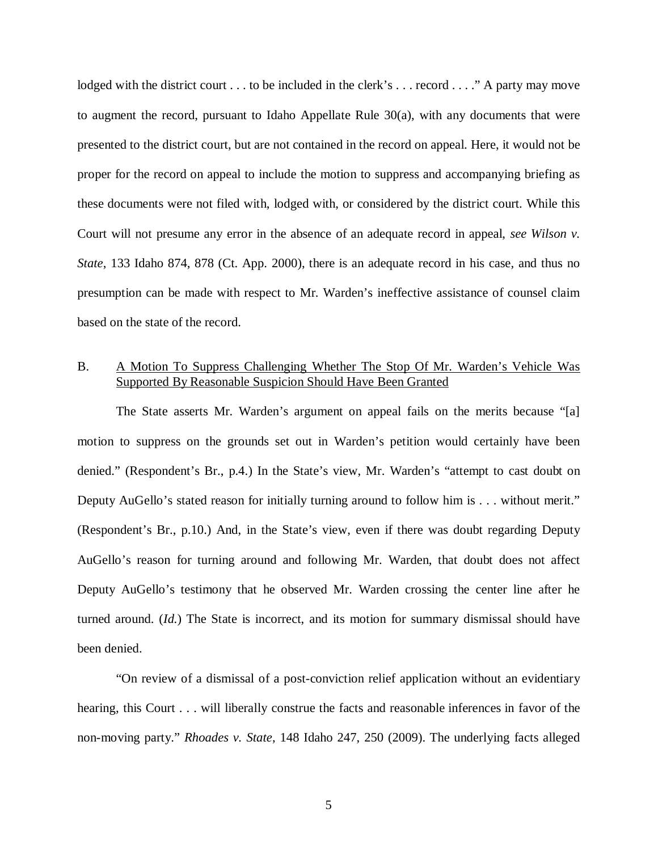lodged with the district court . . . to be included in the clerk's . . . record . . . ." A party may move to augment the record, pursuant to Idaho Appellate Rule 30(a), with any documents that were presented to the district court, but are not contained in the record on appeal. Here, it would not be proper for the record on appeal to include the motion to suppress and accompanying briefing as these documents were not filed with, lodged with, or considered by the district court. While this Court will not presume any error in the absence of an adequate record in appeal, *see Wilson v. State*, 133 Idaho 874, 878 (Ct. App. 2000), there is an adequate record in his case, and thus no presumption can be made with respect to Mr. Warden's ineffective assistance of counsel claim based on the state of the record.

## B. A Motion To Suppress Challenging Whether The Stop Of Mr. Warden's Vehicle Was Supported By Reasonable Suspicion Should Have Been Granted

The State asserts Mr. Warden's argument on appeal fails on the merits because "[a] motion to suppress on the grounds set out in Warden's petition would certainly have been denied." (Respondent's Br., p.4.) In the State's view, Mr. Warden's "attempt to cast doubt on Deputy AuGello's stated reason for initially turning around to follow him is . . . without merit." (Respondent's Br., p.10.) And, in the State's view, even if there was doubt regarding Deputy AuGello's reason for turning around and following Mr. Warden, that doubt does not affect Deputy AuGello's testimony that he observed Mr. Warden crossing the center line after he turned around. (*Id.*) The State is incorrect, and its motion for summary dismissal should have been denied.

"On review of a dismissal of a post-conviction relief application without an evidentiary hearing, this Court . . . will liberally construe the facts and reasonable inferences in favor of the non-moving party." *Rhoades v. State*, 148 Idaho 247, 250 (2009). The underlying facts alleged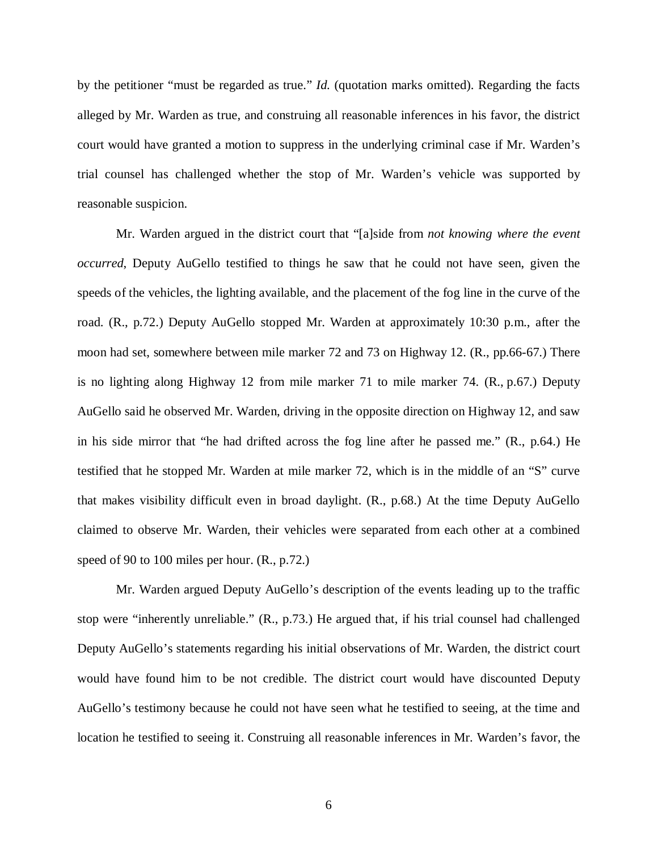by the petitioner "must be regarded as true." *Id.* (quotation marks omitted). Regarding the facts alleged by Mr. Warden as true, and construing all reasonable inferences in his favor, the district court would have granted a motion to suppress in the underlying criminal case if Mr. Warden's trial counsel has challenged whether the stop of Mr. Warden's vehicle was supported by reasonable suspicion.

Mr. Warden argued in the district court that "[a]side from *not knowing where the event occurred*, Deputy AuGello testified to things he saw that he could not have seen, given the speeds of the vehicles, the lighting available, and the placement of the fog line in the curve of the road. (R., p.72.) Deputy AuGello stopped Mr. Warden at approximately 10:30 p.m., after the moon had set, somewhere between mile marker 72 and 73 on Highway 12. (R., pp.66-67.) There is no lighting along Highway 12 from mile marker 71 to mile marker 74. (R., p.67.) Deputy AuGello said he observed Mr. Warden, driving in the opposite direction on Highway 12, and saw in his side mirror that "he had drifted across the fog line after he passed me." (R., p.64.) He testified that he stopped Mr. Warden at mile marker 72, which is in the middle of an "S" curve that makes visibility difficult even in broad daylight. (R., p.68.) At the time Deputy AuGello claimed to observe Mr. Warden, their vehicles were separated from each other at a combined speed of 90 to 100 miles per hour. (R., p.72.)

Mr. Warden argued Deputy AuGello's description of the events leading up to the traffic stop were "inherently unreliable." (R., p.73.) He argued that, if his trial counsel had challenged Deputy AuGello's statements regarding his initial observations of Mr. Warden, the district court would have found him to be not credible. The district court would have discounted Deputy AuGello's testimony because he could not have seen what he testified to seeing, at the time and location he testified to seeing it. Construing all reasonable inferences in Mr. Warden's favor, the